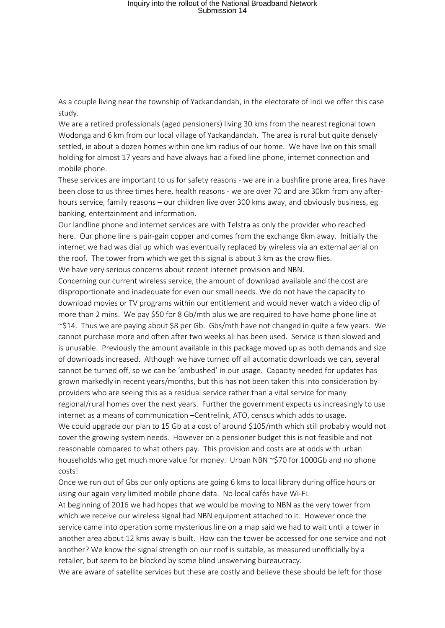## Inquiry into the rollout of the National Broadband Network Submission 14

As a couple living near the township of Yackandandah, in the electorate of Indi we offer this case study.

We are a retired professionals (aged pensioners) living 30 kms from the nearest regional town Wodonga and 6 km from our local village of Yackandandah. The area is rural but quite densely settled, ie about a dozen homes within one km radius of our home. We have live on this small holding for almost 17 years and have always had a fixed line phone, internet connection and mobile phone.

These services are important to us for safety reasons - we are in a bushfire prone area, fires have been close to us three times here, health reasons - we are over 70 and are 30km from any afterhours service, family reasons – our children live over 300 kms away, and obviously business, eg banking, entertainment and information.

Our landline phone and internet services are with Telstra as only the provider who reached here. Our phone line is pair-gain copper and comes from the exchange 6km away. Initially the internet we had was dial up which was eventually replaced by wireless via an external aerial on the roof. The tower from which we get this signal is about 3 km as the crow flies. We have very serious concerns about recent internet provision and NBN.

Concerning our current wireless service, the amount of download available and the cost are disproportionate and inadequate for even our small needs. We do not have the capacity to download movies or TV programs within our entitlement and would never watch a video clip of more than 2 mins. We pay \$50 for 8 Gb/mth plus we are required to have home phone line at ~\$14. Thus we are paying about \$8 per Gb. Gbs/mth have not changed in quite a few years. We cannot purchase more and often after two weeks all has been used. Service is then slowed and is unusable. Previously the amount available in this package moved up as both demands and size of downloads increased. Although we have turned off all automatic downloads we can, several cannot be turned off, so we can be 'ambushed' in our usage. Capacity needed for updates has grown markedly in recent years/months, but this has not been taken this into consideration by providers who are seeing this as a residual service rather than a vital service for many regional/rural homes over the next years. Further the government expects us increasingly to use internet as a means of communication –Centrelink, ATO, census which adds to usage. We could upgrade our plan to 15 Gb at a cost of around \$105/mth which still probably would not cover the growing system needs. However on a pensioner budget this is not feasible and not

reasonable compared to what others pay. This provision and costs are at odds with urban households who get much more value for money. Urban NBN ~\$70 for 1000Gb and no phone costs!

Once we run out of Gbs our only options are going 6 kms to local library during office hours or using our again very limited mobile phone data. No local cafés have Wi-Fi.

At beginning of 2016 we had hopes that we would be moving to NBN as the very tower from which we receive our wireless signal had NBN equipment attached to it. However once the service came into operation some mysterious line on a map said we had to wait until a tower in another area about 12 kms away is built. How can the tower be accessed for one service and not another? We know the signal strength on our roof is suitable, as measured unofficially by a retailer, but seem to be blocked by some blind unswerving bureaucracy.

We are aware of satellite services but these are costly and believe these should be left for those